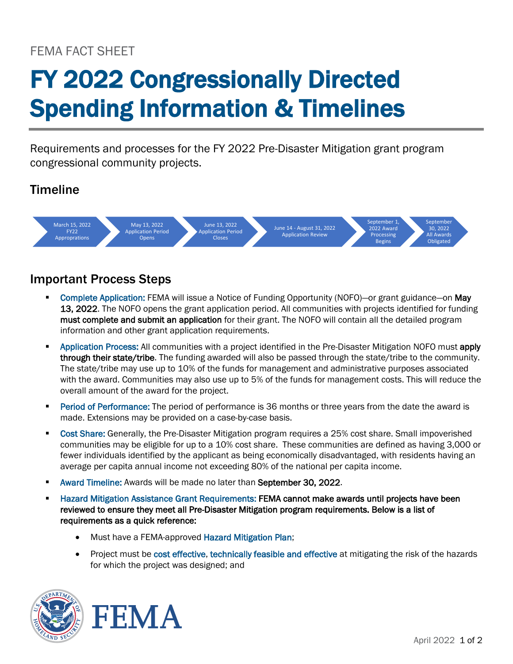## FEMA FACT SHEET

# FY 2022 Congressionally Directed Spending Information & Timelines

Requirements and processes for the FY 2022 Pre-Disaster Mitigation grant program congressional community projects.

### **Timeline**



### Important Process Steps

- Complete Application: FEMA will issue a Notice of Funding Opportunity (NOFO)—or grant guidance—on May 13, 2022. The NOFO opens the grant application period. All communities with projects identified for funding must complete and submit an application for their grant. The NOFO will contain all the detailed program information and other grant application requirements.
- **Application Process:** All communities with a project identified in the Pre-Disaster Mitigation NOFO must apply through their state/tribe. The funding awarded will also be passed through the state/tribe to the community. The state/tribe may use up to 10% of the funds for management and administrative purposes associated with the award. Communities may also use up to 5% of the funds for management costs. This will reduce the overall amount of the award for the project.
- **Period of Performance:** The period of performance is 36 months or three years from the date the award is made. Extensions may be provided on a case-by-case basis.
- **Cost Share: Generally, the Pre-Disaster Mitigation program requires a 25% cost share. Small impoverished** communities may be eligible for up to a 10% cost share. These communities are defined as having 3,000 or fewer individuals identified by the applicant as being economically disadvantaged, with residents having an average per capita annual income not exceeding 80% of the national per capita income.
- **Award Timeline: Awards will be made no later than September 30, 2022.**
- Hazard Mitigation Assistance Grant Requirements: FEMA cannot make awards until projects have been reviewed to ensure they meet all Pre-Disaster Mitigation program requirements. Below is a list of requirements as a quick reference:
	- Must have a FEMA-approved Hazard Mitigation Plan;
	- Project must be cost effective, technically feasible and effective at mitigating the risk of the hazards for which the project was designed; and